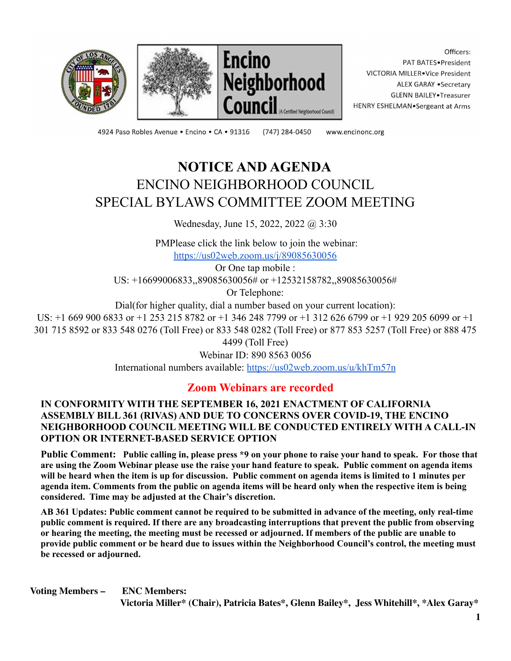





Officers: PAT BATES.President VICTORIA MILLER.Vice President ALEX GARAY .Secretary **GLENN BAILEY** Treasurer HENRY ESHELMAN.Sergeant at Arms

4924 Paso Robles Avenue · Encino · CA · 91316 (747) 284-0450

www.encinonc.org

# **NOTICE AND AGENDA** ENCINO NEIGHBORHOOD COUNCIL SPECIAL BYLAWS COMMITTEE ZOOM MEETING

Wednesday, June 15, 2022, 2022 @ 3:30

PMPlease click the link below to join the webinar: <https://us02web.zoom.us/j/89085630056>

Or One tap mobile : US: +16699006833,,89085630056# or +12532158782,,89085630056#

Or Telephone:

Dial(for higher quality, dial a number based on your current location):

US: +1 669 900 6833 or +1 253 215 8782 or +1 346 248 7799 or +1 312 626 6799 or +1 929 205 6099 or +1 301 715 8592 or 833 548 0276 (Toll Free) or 833 548 0282 (Toll Free) or 877 853 5257 (Toll Free) or 888 475 4499 (Toll Free)

Webinar ID: 890 8563 0056

International numbers available: <https://us02web.zoom.us/u/khTm57n>

# **Zoom Webinars are recorded**

### **IN CONFORMITY WITH THE SEPTEMBER 16, 2021 ENACTMENT OF CALIFORNIA ASSEMBLY BILL 361 (RIVAS) AND DUE TO CONCERNS OVER COVID-19, THE ENCINO NEIGHBORHOOD COUNCIL MEETING WILL BE CONDUCTED ENTIRELY WITH A CALL-IN OPTION OR INTERNET-BASED SERVICE OPTION**

Public Comment: Public calling in, please press \*9 on your phone to raise your hand to speak. For those that are using the Zoom Webinar please use the raise your hand feature to speak. Public comment on agenda items will be heard when the item is up for discussion. Public comment on agenda items is limited to 1 minutes per agenda item. Comments from the public on agenda items will be heard only when the respective item is being **considered. Time may be adjusted at the Chair's discretion.**

AB 361 Updates: Public comment cannot be required to be submitted in advance of the meeting, only real-time **public comment is required. If there are any broadcasting interruptions that prevent the public from observing** or hearing the meeting, the meeting must be recessed or adjourned. If members of the public are unable to provide public comment or be heard due to issues within the Neighborhood Council's control, the meeting must **be recessed or adjourned.**

**Voting Members – ENC Members: Victoria Miller\* (Chair), Patricia Bates\*, Glenn Bailey\*, Jess Whitehill\*, \*Alex Garay\***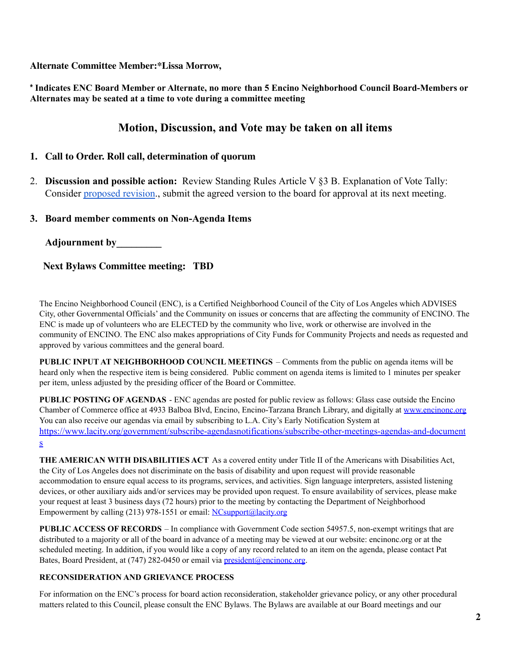**Alternate Committee Member:\*Lissa Morrow,**

**\* Indicates ENC Board Member or Alternate, no more than 5 Encino Neighborhood Council Board-Members or Alternates may be seated at a time to vote during a committee meeting**

## **Motion, Discussion, and Vote may be taken on all items**

## **1. Call to Order. Roll call, determination of quorum**

2. **Discussion and possible action:** Review Standing Rules Article V §3 B. Explanation of Vote Tally: Consider [proposed revision.](https://www.encinonc.org/assets/documents/8/meeting62a5739b9d208.pdf), submit the agreed version to the board for approval at its next meeting.

#### **3. Board member comments on Non-Agenda Items**

**Adjournment by\_\_\_\_\_\_\_\_\_**

**Next Bylaws Committee meeting: TBD**

The Encino Neighborhood Council (ENC), is a Certified Neighborhood Council of the City of Los Angeles which ADVISES City, other Governmental Officials' and the Community on issues or concerns that are affecting the community of ENCINO. The ENC is made up of volunteers who are ELECTED by the community who live, work or otherwise are involved in the community of ENCINO. The ENC also makes appropriations of City Funds for Community Projects and needs as requested and approved by various committees and the general board.

**PUBLIC INPUT AT NEIGHBORHOOD COUNCIL MEETINGS** – Comments from the public on agenda items will be heard only when the respective item is being considered. Public comment on agenda items is limited to 1 minutes per speaker per item, unless adjusted by the presiding officer of the Board or Committee.

**PUBLIC POSTING OF AGENDAS** - ENC agendas are posted for public review as follows: Glass case outside the Encino Chamber of Commerce office at 4933 Balboa Blvd, Encino, Encino-Tarzana Branch Library, and digitally at [www.encinonc.org](http://www.encinonc.org/) You can also receive our agendas via email by subscribing to L.A. City's Early Notification System at [https://www.lacity.org/government/subscribe-agendasnotifications/subscribe-other-meetings-agendas-and-document](https://www.lacity.org/government/subscribe-agendasnotifications/subscribe-other-meetings-agendas-and-documents) [s](https://www.lacity.org/government/subscribe-agendasnotifications/subscribe-other-meetings-agendas-and-documents)

**THE AMERICAN WITH DISABILITIES ACT** As a covered entity under Title II of the Americans with Disabilities Act, the City of Los Angeles does not discriminate on the basis of disability and upon request will provide reasonable accommodation to ensure equal access to its programs, services, and activities. Sign language interpreters, assisted listening devices, or other auxiliary aids and/or services may be provided upon request. To ensure availability of services, please make your request at least 3 business days (72 hours) prior to the meeting by contacting the Department of Neighborhood Empowerment by calling (213) 978-1551 or email: [NCsupport@lacity.org](mailto:NCsupport@lacity.org)

**PUBLIC ACCESS OF RECORDS** – In compliance with Government Code section 54957.5, non-exempt writings that are distributed to a majority or all of the board in advance of a meeting may be viewed at our website: encinonc.org or at the scheduled meeting. In addition, if you would like a copy of any record related to an item on the agenda, please contact Pat Bates, Board President, at (747) 282-0450 or email via [president@encinonc.org.](mailto:president@encinonc.org)

#### **RECONSIDERATION AND GRIEVANCE PROCESS**

For information on the ENC's process for board action reconsideration, stakeholder grievance policy, or any other procedural matters related to this Council, please consult the ENC Bylaws. The Bylaws are available at our Board meetings and our